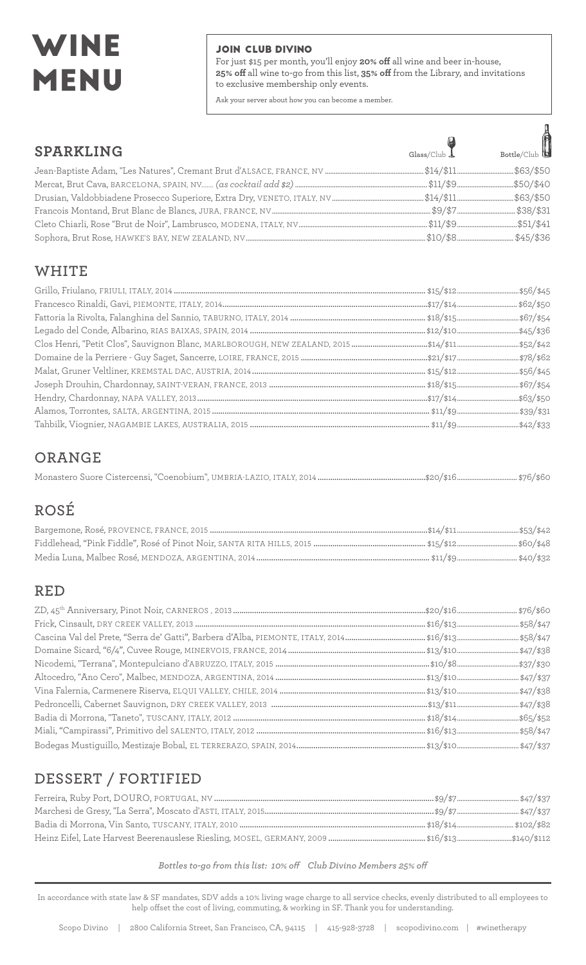# WINE MENU

#### JOIN CLUB DIVINO

For just \$15 per month, you'll enjoy **20% off** all wine and beer in-house, **25% off** all wine to-go from this list, **35% off** from the Library, and invitations to exclusive membership only events.

Ask your server about how you can become a member.

| <b>SPARKLING</b> | $\begin{picture}(120,140)(-10,-14){\line(1,0){150}} \put(150,140){\line(1,0){150}} \put(150,140){\line(1,0){150}} \put(150,140){\line(1,0){150}} \put(150,140){\line(1,0){150}} \put(150,140){\line(1,0){150}} \put(150,140){\line(1,0){150}} \put(150,140){\line(1,0){150}} \put(150,140){\line(1,0){150}} \put(150,140){\line$ |
|------------------|----------------------------------------------------------------------------------------------------------------------------------------------------------------------------------------------------------------------------------------------------------------------------------------------------------------------------------|
|                  |                                                                                                                                                                                                                                                                                                                                  |
|                  |                                                                                                                                                                                                                                                                                                                                  |
|                  |                                                                                                                                                                                                                                                                                                                                  |
|                  |                                                                                                                                                                                                                                                                                                                                  |
|                  |                                                                                                                                                                                                                                                                                                                                  |
|                  |                                                                                                                                                                                                                                                                                                                                  |

#### **WHITE**

### **ORANGE**

|--|--|--|--|

### **ROSÉ**

### **RED**

### **DESSERT / FORTIFIED**

*Bottles to-go from this list: 10% off Club Divino Members 25% off*

In accordance with state law & SF mandates, SDV adds a 10% living wage charge to all service checks, evenly distributed to all employees to help offset the cost of living, commuting, & working in SF. Thank you for understanding.